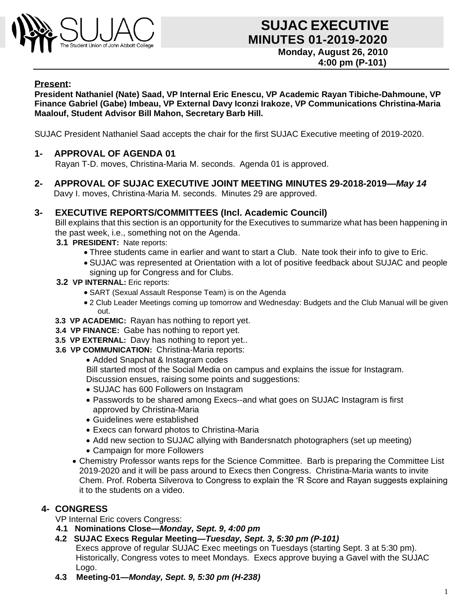

#### **Present:**

**President Nathaniel (Nate) Saad, VP Internal Eric Enescu, VP Academic Rayan Tibiche-Dahmoune, VP Finance Gabriel (Gabe) Imbeau, VP External Davy Iconzi Irakoze, VP Communications Christina-Maria Maalouf, Student Advisor Bill Mahon, Secretary Barb Hill.**

SUJAC President Nathaniel Saad accepts the chair for the first SUJAC Executive meeting of 2019-2020.

### **1- APPROVAL OF AGENDA 01**

Rayan T-D. moves, Christina-Maria M. seconds. Agenda 01 is approved.

**2- APPROVAL OF SUJAC EXECUTIVE JOINT MEETING MINUTES 29-2018-2019—***May 14* Davy I. moves, Christina-Maria M. seconds. Minutes 29 are approved.

#### **3- EXECUTIVE REPORTS/COMMITTEES (Incl. Academic Council)**

Bill explains that this section is an opportunity for the Executives to summarize what has been happening in the past week, i.e., something not on the Agenda.

- **3.1 PRESIDENT:** Nate reports:
	- Three students came in earlier and want to start a Club. Nate took their info to give to Eric.
	- SUJAC was represented at Orientation with a lot of positive feedback about SUJAC and people signing up for Congress and for Clubs.
- **3.2 VP INTERNAL:** Eric reports:
	- SART (Sexual Assault Response Team) is on the Agenda
	- 2 Club Leader Meetings coming up tomorrow and Wednesday: Budgets and the Club Manual will be given out.
- **3.3 VP ACADEMIC:** Rayan has nothing to report yet.
- **3.4 VP FINANCE:** Gabe has nothing to report yet.
- **3.5 VP EXTERNAL:** Davy has nothing to report yet..
- **3.6 VP COMMUNICATION:** Christina-Maria reports:
	- Added Snapchat & Instagram codes

Bill started most of the Social Media on campus and explains the issue for Instagram.

Discussion ensues, raising some points and suggestions:

- SUJAC has 600 Followers on Instagram
- Passwords to be shared among Execs--and what goes on SUJAC Instagram is first approved by Christina-Maria
- Guidelines were established
- Execs can forward photos to Christina-Maria
- Add new section to SUJAC allying with Bandersnatch photographers (set up meeting)
- Campaign for more Followers
- Chemistry Professor wants reps for the Science Committee. Barb is preparing the Committee List 2019-2020 and it will be pass around to Execs then Congress. Christina-Maria wants to invite Chem. Prof. Roberta Silverova to Congress to explain the 'R Score and Rayan suggests explaining it to the students on a video.

### **4- CONGRESS**

VP Internal Eric covers Congress:

- **4.1 Nominations Close—***Monday, Sept. 9, 4:00 pm*
- **4.2 SUJAC Execs Regular Meeting—***Tuesday, Sept. 3, 5:30 pm (P-101)*

Execs approve of regular SUJAC Exec meetings on Tuesdays (starting Sept. 3 at 5:30 pm). Historically, Congress votes to meet Mondays. Execs approve buying a Gavel with the SUJAC Logo.

**4.3 Meeting-01—***Monday, Sept. 9, 5:30 pm (H-238)*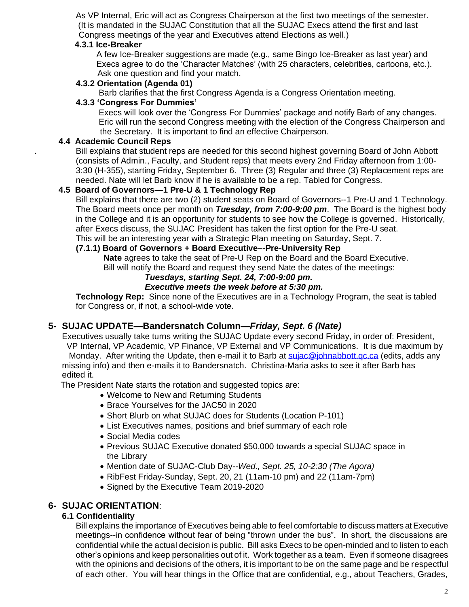As VP Internal, Eric will act as Congress Chairperson at the first two meetings of the semester. (It is mandated in the SUJAC Constitution that all the SUJAC Execs attend the first and last Congress meetings of the year and Executives attend Elections as well.)

#### **4.3.1 Ice-Breaker**

A few Ice-Breaker suggestions are made (e.g., same Bingo Ice-Breaker as last year) and Execs agree to do the 'Character Matches' (with 25 characters, celebrities, cartoons, etc.). Ask one question and find your match.

#### **4.3.2 Orientation (Agenda 01)**

Barb clarifies that the first Congress Agenda is a Congress Orientation meeting.

#### **4.3.3 'Congress For Dummies'**

Execs will look over the 'Congress For Dummies' package and notify Barb of any changes. Eric will run the second Congress meeting with the election of the Congress Chairperson and the Secretary. It is important to find an effective Chairperson.

### **4.4 Academic Council Reps**

. Bill explains that student reps are needed for this second highest governing Board of John Abbott (consists of Admin., Faculty, and Student reps) that meets every 2nd Friday afternoon from 1:00- 3:30 (H-355), starting Friday, September 6. Three (3) Regular and three (3) Replacement reps are needed. Nate will let Barb know if he is available to be a rep. Tabled for Congress.

### **4.5 Board of Governors—1 Pre-U & 1 Technology Rep**

Bill explains that there are two (2) student seats on Board of Governors--1 Pre-U and 1 Technology. The Board meets once per month on *Tuesday, from 7:00-9:00 pm*. The Board is the highest body in the College and it is an opportunity for students to see how the College is governed. Historically, after Execs discuss, the SUJAC President has taken the first option for the Pre-U seat. This will be an interesting year with a Strategic Plan meeting on Saturday, Sept. 7.

# **(7.1.1) Board of Governors + Board Executive–-Pre-University Rep**

 **Nate** agrees to take the seat of Pre-U Rep on the Board and the Board Executive.

Bill will notify the Board and request they send Nate the dates of the meetings:

## *Tuesdays, starting Sept. 24, 7:00-9:00 pm.*

#### *Executive meets the week before at 5:30 pm.*

**Technology Rep:** Since none of the Executives are in a Technology Program, the seat is tabled for Congress or, if not, a school-wide vote.

### **5- SUJAC UPDATE—Bandersnatch Column—***Friday, Sept. 6 (Nate)*

Executives usually take turns writing the SUJAC Update every second Friday, in order of: President, VP Internal, VP Academic, VP Finance, VP External and VP Communications. It is due maximum by Monday. After writing the Update, then e-mail it to Barb at sujac@johnabbott.gc.ca (edits, adds any missing info) and then e-mails it to Bandersnatch. Christina-Maria asks to see it after Barb has edited it.

The President Nate starts the rotation and suggested topics are:

- Welcome to New and Returning Students
- Brace Yourselves for the JAC50 in 2020
- Short Blurb on what SUJAC does for Students (Location P-101)
- List Executives names, positions and brief summary of each role
- Social Media codes
- Previous SUJAC Executive donated \$50,000 towards a special SUJAC space in the Library
- Mention date of SUJAC-Club Day--*Wed., Sept. 25, 10-2:30 (The Agora)*
- RibFest Friday-Sunday, Sept. 20, 21 (11am-10 pm) and 22 (11am-7pm)
- Signed by the Executive Team 2019-2020

### **6- SUJAC ORIENTATION**:

### **6.1 Confidentiality**

Bill explains the importance of Executives being able to feel comfortable to discuss matters at Executive meetings--in confidence without fear of being "thrown under the bus". In short, the discussions are confidential while the actual decision is public. Bill asks Execs to be open-minded and to listen to each other's opinions and keep personalities out of it. Work together as a team. Even if someone disagrees with the opinions and decisions of the others, it is important to be on the same page and be respectful of each other. You will hear things in the Office that are confidential, e.g., about Teachers, Grades,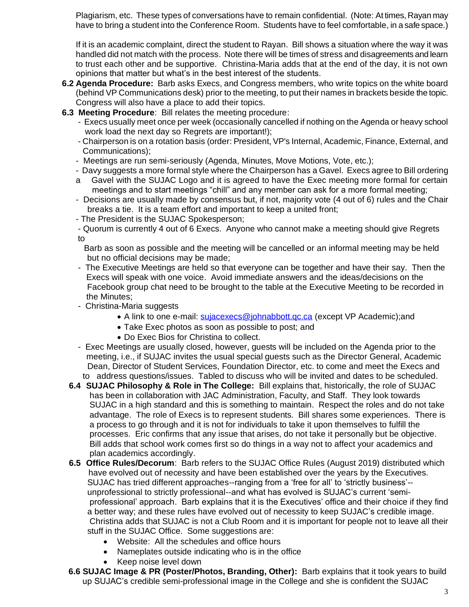Plagiarism, etc. These types of conversations have to remain confidential. (Note: At times, Rayan may have to bring a student into the Conference Room. Students have to feel comfortable, in a safe space.)

If it is an academic complaint, direct the student to Rayan. Bill shows a situation where the way it was handled did not match with the process. Note there will be times of stress and disagreements and learn to trust each other and be supportive. Christina-Maria adds that at the end of the day, it is not own opinions that matter but what's in the best interest of the students.

- **6.2 Agenda Procedure:** Barb asks Execs, and Congress members, who write topics on the white board (behind VP Communications desk) prior to the meeting, to put their names in brackets beside the topic. Congress will also have a place to add their topics.
- **6.3 Meeting Procedure**: Bill relates the meeting procedure:
	- Execs usually meet once per week (occasionally cancelled if nothing on the Agenda or heavy school work load the next day so Regrets are important!);
	- Chairperson is on a rotation basis (order: President, VP's Internal, Academic, Finance, External, and Communications);
	- Meetings are run semi-seriously (Agenda, Minutes, Move Motions, Vote, etc.);
	- Davy suggests a more formal style where the Chairperson has a Gavel. Execs agree to Bill ordering
	- a Gavel with the SUJAC Logo and it is agreed to have the Exec meeting more formal for certain meetings and to start meetings "chill" and any member can ask for a more formal meeting;
	- Decisions are usually made by consensus but, if not, majority vote (4 out of 6) rules and the Chair breaks a tie. It is a team effort and important to keep a united front;
	- The President is the SUJAC Spokesperson;
	- Quorum is currently 4 out of 6 Execs. Anyone who cannot make a meeting should give Regrets to
		- Barb as soon as possible and the meeting will be cancelled or an informal meeting may be held but no official decisions may be made;
	- The Executive Meetings are held so that everyone can be together and have their say. Then the Execs will speak with one voice. Avoid immediate answers and the ideas/decisions on the Facebook group chat need to be brought to the table at the Executive Meeting to be recorded in the Minutes;
	- Christina-Maria suggests
		- A link to one e-mail: [sujacexecs@johnabbott.qc.ca](mailto:sujacexecs@johnabbott.qc.ca) (except VP Academic);and
		- Take Exec photos as soon as possible to post; and
		- Do Exec Bios for Christina to collect.
	- Exec Meetings are usually closed, however, guests will be included on the Agenda prior to the meeting, i.e., if SUJAC invites the usual special guests such as the Director General, Academic Dean, Director of Student Services, Foundation Director, etc. to come and meet the Execs and to address questions/issues. Tabled to discuss who will be invited and dates to be scheduled.
	- **6.4 SUJAC Philosophy & Role in The College:** Bill explains that, historically, the role of SUJAC has been in collaboration with JAC Administration, Faculty, and Staff. They look towards SUJAC in a high standard and this is something to maintain. Respect the roles and do not take advantage. The role of Execs is to represent students. Bill shares some experiences. There is a process to go through and it is not for individuals to take it upon themselves to fulfill the processes. Eric confirms that any issue that arises, do not take it personally but be objective. Bill adds that school work comes first so do things in a way not to affect your academics and plan academics accordingly.
	- **6.5 Office Rules/Decorum**: Barb refers to the SUJAC Office Rules (August 2019) distributed which have evolved out of necessity and have been established over the years by the Executives. SUJAC has tried different approaches--ranging from a 'free for all' to 'strictly business'- unprofessional to strictly professional--and what has evolved is SUJAC's current 'semi professional' approach. Barb explains that it is the Executives' office and their choice if they find a better way; and these rules have evolved out of necessity to keep SUJAC's credible image. Christina adds that SUJAC is not a Club Room and it is important for people not to leave all their stuff in the SUJAC Office. Some suggestions are:
		- Website: All the schedules and office hours
		- Nameplates outside indicating who is in the office
		- Keep noise level down
	- **6.6 SUJAC Image & PR (Poster/Photos, Branding, Other):** Barb explains that it took years to build up SUJAC's credible semi-professional image in the College and she is confident the SUJAC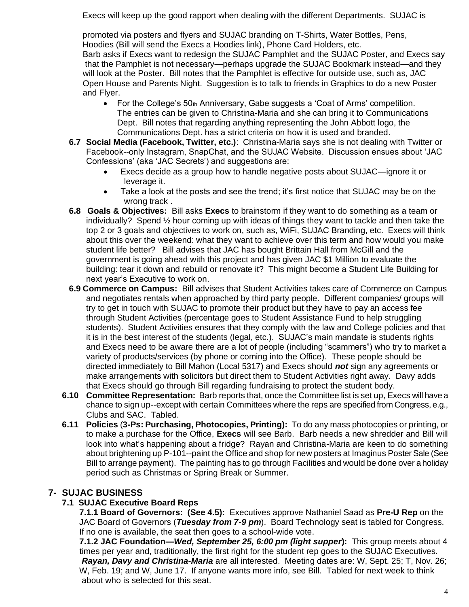Execs will keep up the good rapport when dealing with the different Departments. SUJAC is

promoted via posters and flyers and SUJAC branding on T-Shirts, Water Bottles, Pens, Hoodies (Bill will send the Execs a Hoodies link), Phone Card Holders, etc. Barb asks if Execs want to redesign the SUJAC Pamphlet and the SUJAC Poster, and Execs say that the Pamphlet is not necessary—perhaps upgrade the SUJAC Bookmark instead—and they will look at the Poster. Bill notes that the Pamphlet is effective for outside use, such as, JAC Open House and Parents Night. Suggestion is to talk to friends in Graphics to do a new Poster and Flyer.

- For the College's  $50<sub>th</sub>$  Anniversary, Gabe suggests a 'Coat of Arms' competition. The entries can be given to Christina-Maria and she can bring it to Communications Dept. Bill notes that regarding anything representing the John Abbott logo, the Communications Dept. has a strict criteria on how it is used and branded.
- **6.7 Social Media (Facebook, Twitter, etc.)**: Christina-Maria says she is not dealing with Twitter or Facebook--only Instagram, SnapChat, and the SUJAC Website. Discussion ensues about 'JAC Confessions' (aka 'JAC Secrets') and suggestions are:
	- Execs decide as a group how to handle negative posts about SUJAC—ignore it or leverage it.
	- Take a look at the posts and see the trend; it's first notice that SUJAC may be on the wrong track .
- **6.8 Goals & Objectives:** Bill asks **Execs** to brainstorm if they want to do something as a team or individually? Spend ½ hour coming up with ideas of things they want to tackle and then take the top 2 or 3 goals and objectives to work on, such as, WiFi, SUJAC Branding, etc. Execs will think about this over the weekend: what they want to achieve over this term and how would you make student life better? Bill advises that JAC has bought Brittain Hall from McGill and the government is going ahead with this project and has given JAC \$1 Million to evaluate the building: tear it down and rebuild or renovate it? This might become a Student Life Building for next year's Executive to work on.
- **6.9 Commerce on Campus:** Bill advises that Student Activities takes care of Commerce on Campus and negotiates rentals when approached by third party people. Different companies/ groups will try to get in touch with SUJAC to promote their product but they have to pay an access fee through Student Activities (percentage goes to Student Assistance Fund to help struggling students). Student Activities ensures that they comply with the law and College policies and that it is in the best interest of the students (legal, etc.). SUJAC's main mandate is students rights and Execs need to be aware there are a lot of people (including "scammers") who try to market a variety of products/services (by phone or coming into the Office). These people should be directed immediately to Bill Mahon (Local 5317) and Execs should *not* sign any agreements or make arrangements with solicitors but direct them to Student Activities right away. Davy adds that Execs should go through Bill regarding fundraising to protect the student body.
- **6.10 Committee Representation:** Barb reports that, once the Committee list is set up, Execs will have a chance to sign up--except with certain Committees where the reps are specified from Congress, e.g., Clubs and SAC. Tabled.
- **6.11 Policies** (**3-Ps: Purchasing, Photocopies, Printing):** To do any mass photocopies or printing, or to make a purchase for the Office, **Execs** will see Barb. Barb needs a new shredder and Bill will look into what's happening about a fridge? Rayan and Christina-Maria are keen to do something about brightening up P-101--paint the Office and shop for new posters at Imaginus Poster Sale (See Bill to arrange payment). The painting has to go through Facilities and would be done over a holiday period such as Christmas or Spring Break or Summer.

# **7- SUJAC BUSINESS**

# **7.1 SUJAC Executive Board Reps**

**7.1.1 Board of Governors: (See 4.5):** Executives approve Nathaniel Saad as **Pre-U Rep** on the JAC Board of Governors (*Tuesday from 7-9 pm*). Board Technology seat is tabled for Congress. If no one is available, the seat then goes to a school-wide vote.

**7.1.2 JAC Foundation—***Wed, September 25, 6:00 pm (light supper***):** This group meets about 4 times per year and, traditionally, the first right for the student rep goes to the SUJAC Executives*. Rayan, Davy and Christina-Maria* are all interested. Meeting dates are: W, Sept. 25; T, Nov. 26; W, Feb. 19; and W, June 17. If anyone wants more info, see Bill. Tabled for next week to think about who is selected for this seat.